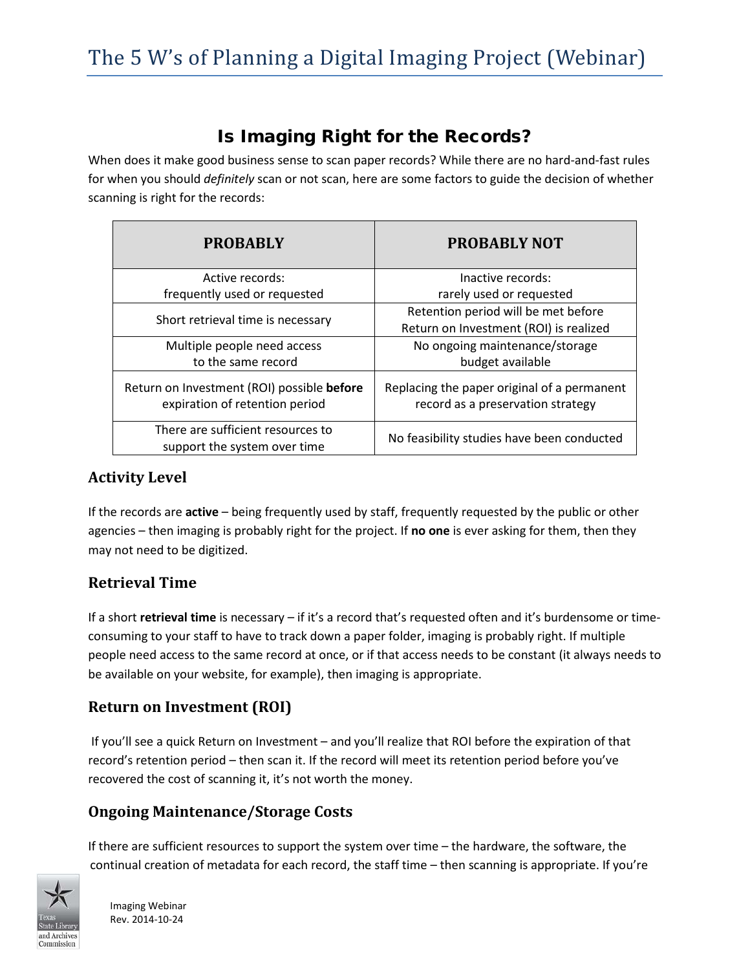# Is Imaging Right for the Records?

When does it make good business sense to scan paper records? While there are no hard-and-fast rules for when you should *definitely* scan or not scan, here are some factors to guide the decision of whether scanning is right for the records:

| <b>PROBABLY</b>                                                              | <b>PROBABLY NOT</b>                                                              |
|------------------------------------------------------------------------------|----------------------------------------------------------------------------------|
| Active records:                                                              | Inactive records:                                                                |
| frequently used or requested                                                 | rarely used or requested                                                         |
| Short retrieval time is necessary                                            | Retention period will be met before                                              |
|                                                                              | Return on Investment (ROI) is realized                                           |
| Multiple people need access                                                  | No ongoing maintenance/storage                                                   |
| to the same record                                                           | budget available                                                                 |
| Return on Investment (ROI) possible before<br>expiration of retention period | Replacing the paper original of a permanent<br>record as a preservation strategy |
| There are sufficient resources to<br>support the system over time            | No feasibility studies have been conducted                                       |

## **Activity Level**

If the records are **active** – being frequently used by staff, frequently requested by the public or other agencies – then imaging is probably right for the project. If **no one** is ever asking for them, then they may not need to be digitized.

## **Retrieval Time**

If a short **retrieval time** is necessary – if it's a record that's requested often and it's burdensome or timeconsuming to your staff to have to track down a paper folder, imaging is probably right. If multiple people need access to the same record at once, or if that access needs to be constant (it always needs to be available on your website, for example), then imaging is appropriate.

# **Return on Investment (ROI)**

If you'll see a quick Return on Investment – and you'll realize that ROI before the expiration of that record's retention period – then scan it. If the record will meet its retention period before you've recovered the cost of scanning it, it's not worth the money.

## **Ongoing Maintenance/Storage Costs**

If there are sufficient resources to support the system over time – the hardware, the software, the continual creation of metadata for each record, the staff time – then scanning is appropriate. If you're



Imaging Webinar Rev. 2014-10-24